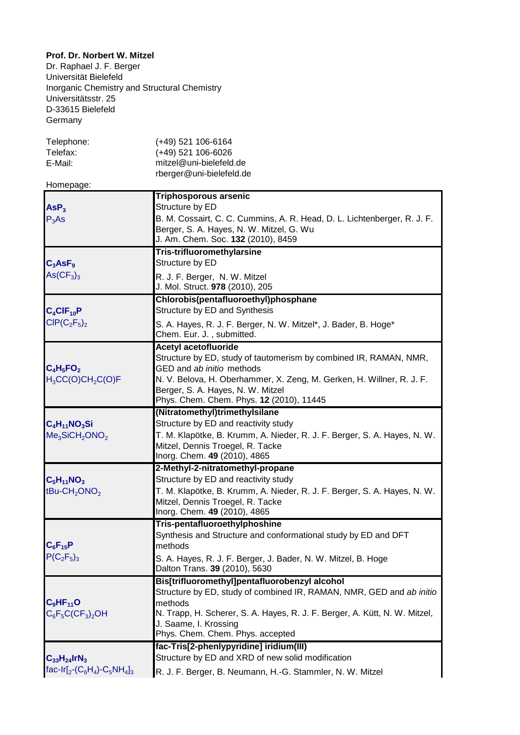## **Prof. Dr. Norbert W. Mitzel**

Dr. Raphael J. F. Berger Universität Bielefeld Inorganic Chemistry and Structural Chemistry Universitätsstr. 25 D-33615 Bielefeld Germany

| Telephone:<br>Telefax:<br>E-Mail:<br>Homepage:                          | $(+49)$ 521 106-6164<br>(+49) 521 106-6026<br>mitzel@uni-bielefeld.de<br>rberger@uni-bielefeld.de                                                                                                                                                                                       |
|-------------------------------------------------------------------------|-----------------------------------------------------------------------------------------------------------------------------------------------------------------------------------------------------------------------------------------------------------------------------------------|
| ASP <sub>3</sub><br>$P_3$ As                                            | <b>Triphosporous arsenic</b><br>Structure by ED<br>B. M. Cossairt, C. C. Cummins, A. R. Head, D. L. Lichtenberger, R. J. F.<br>Berger, S. A. Hayes, N. W. Mitzel, G. Wu<br>J. Am. Chem. Soc. 132 (2010), 8459                                                                           |
| $C_3$ AsF <sub>9</sub><br>$\text{As}(\text{CF}_3)_3$                    | <b>Tris-trifluoromethylarsine</b><br>Structure by ED<br>R. J. F. Berger, N. W. Mitzel<br>J. Mol. Struct. 978 (2010), 205                                                                                                                                                                |
| $C_4CIF_{10}P$<br>$CIP(C_2F_5)_2$                                       | Chlorobis(pentafluoroethyl)phosphane<br>Structure by ED and Synthesis<br>S. A. Hayes, R. J. F. Berger, N. W. Mitzel*, J. Bader, B. Hoge*<br>Chem. Eur. J., submitted.                                                                                                                   |
| $C_4H_5FO_2$<br>$H_3CC(O)CH_2C(O)F$                                     | <b>Acetyl acetofluoride</b><br>Structure by ED, study of tautomerism by combined IR, RAMAN, NMR,<br>GED and ab initio methods<br>N. V. Belova, H. Oberhammer, X. Zeng, M. Gerken, H. Willner, R. J. F.<br>Berger, S. A. Hayes, N. W. Mitzel<br>Phys. Chem. Chem. Phys. 12 (2010), 11445 |
|                                                                         | (Nitratomethyl)trimethylsilane                                                                                                                                                                                                                                                          |
| $C_4H_{11}NO_3Si$<br>Me <sub>3</sub> SiCH <sub>2</sub> ONO <sub>2</sub> | Structure by ED and reactivity study<br>T. M. Klapötke, B. Krumm, A. Nieder, R. J. F. Berger, S. A. Hayes, N. W.<br>Mitzel, Dennis Troegel, R. Tacke<br>Inorg. Chem. 49 (2010), 4865                                                                                                    |
| $C_5H_{11}NO_3$<br>tBu-CH <sub>2</sub> ONO <sub>2</sub>                 | 2-Methyl-2-nitratomethyl-propane<br>Structure by ED and reactivity study<br>T. M. Klapötke, B. Krumm, A. Nieder, R. J. F. Berger, S. A. Hayes, N. W.<br>Mitzel, Dennis Troegel, R. Tacke<br>Inorg. Chem. 49 (2010), 4865                                                                |
| $P(C_2F_5)_3$                                                           | <b>Tris-pentafluoroethylphoshine</b><br>Synthesis and Structure and conformational study by ED and DFT<br>methods<br>S. A. Hayes, R. J. F. Berger, J. Bader, N. W. Mitzel, B. Hoge<br>Dalton Trans. 39 (2010), 5630                                                                     |
| $C_6F_{15}P$<br>$C_9HF_{11}O$<br>$C_6F_5C(CF_3)_2OH$                    | Bis[trifluoromethyl]pentafluorobenzyl alcohol<br>Structure by ED, study of combined IR, RAMAN, NMR, GED and ab initio<br>methods<br>N. Trapp, H. Scherer, S. A. Hayes, R. J. F. Berger, A. Kütt, N. W. Mitzel,<br>J. Saame, I. Krossing<br>Phys. Chem. Chem. Phys. accepted             |